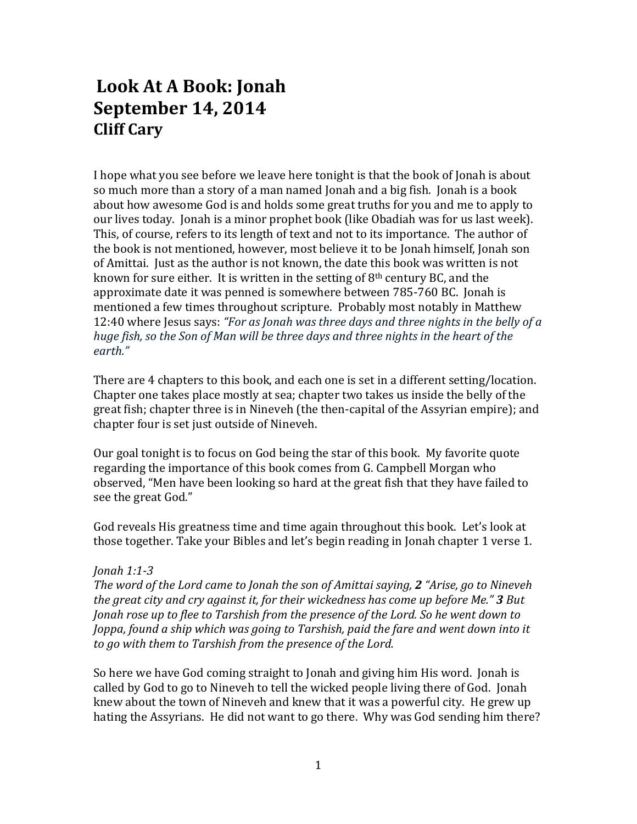## **Look At A Book: Jonah September 14, 2014 Cliff Cary**

I hope what you see before we leave here tonight is that the book of Jonah is about so much more than a story of a man named Jonah and a big fish. Jonah is a book about how awesome God is and holds some great truths for you and me to apply to our lives today. Jonah is a minor prophet book (like Obadiah was for us last week). This, of course, refers to its length of text and not to its importance. The author of the book is not mentioned, however, most believe it to be Jonah himself, Jonah son of Amittai. Just as the author is not known, the date this book was written is not known for sure either. It is written in the setting of  $8<sup>th</sup>$  century BC, and the approximate date it was penned is somewhere between 785-760 BC. Jonah is mentioned a few times throughout scripture. Probably most notably in Matthew 12:40 where Jesus says: *"For as Jonah was three days and three nights in the belly of a huge fish, so the Son of Man will be three days and three nights in the heart of the earth."*

There are 4 chapters to this book, and each one is set in a different setting/location. Chapter one takes place mostly at sea; chapter two takes us inside the belly of the great fish; chapter three is in Nineveh (the then-capital of the Assyrian empire); and chapter four is set just outside of Nineveh.

Our goal tonight is to focus on God being the star of this book. My favorite quote regarding the importance of this book comes from G. Campbell Morgan who observed, "Men have been looking so hard at the great fish that they have failed to see the great God."

God reveals His greatness time and time again throughout this book. Let's look at those together. Take your Bibles and let's begin reading in Jonah chapter 1 verse 1.

## *Jonah 1:1-3*

*The word of the Lord came to Jonah the son of Amittai saying, 2 "Arise, go to Nineveh the great city and cry against it, for their wickedness has come up before Me." 3 But Jonah rose up to flee to Tarshish from the presence of the Lord. So he went down to Joppa, found a ship which was going to Tarshish, paid the fare and went down into it to go with them to Tarshish from the presence of the Lord.*

So here we have God coming straight to Jonah and giving him His word. Jonah is called by God to go to Nineveh to tell the wicked people living there of God. Jonah knew about the town of Nineveh and knew that it was a powerful city. He grew up hating the Assyrians. He did not want to go there. Why was God sending him there?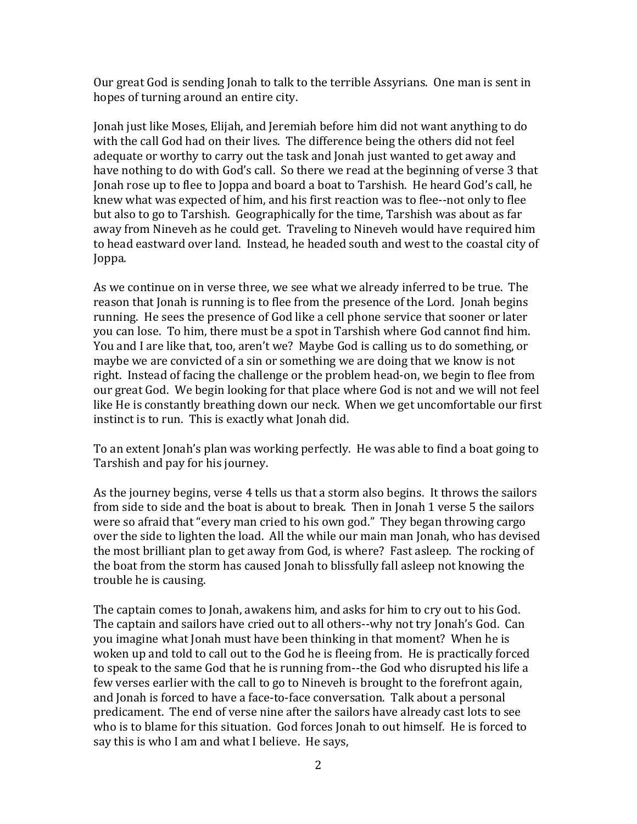Our great God is sending Jonah to talk to the terrible Assyrians. One man is sent in hopes of turning around an entire city.

Jonah just like Moses, Elijah, and Jeremiah before him did not want anything to do with the call God had on their lives. The difference being the others did not feel adequate or worthy to carry out the task and Jonah just wanted to get away and have nothing to do with God's call. So there we read at the beginning of verse 3 that Jonah rose up to flee to Joppa and board a boat to Tarshish. He heard God's call, he knew what was expected of him, and his first reaction was to flee--not only to flee but also to go to Tarshish. Geographically for the time, Tarshish was about as far away from Nineveh as he could get. Traveling to Nineveh would have required him to head eastward over land. Instead, he headed south and west to the coastal city of Joppa.

As we continue on in verse three, we see what we already inferred to be true. The reason that Jonah is running is to flee from the presence of the Lord. Jonah begins running. He sees the presence of God like a cell phone service that sooner or later you can lose. To him, there must be a spot in Tarshish where God cannot find him. You and I are like that, too, aren't we? Maybe God is calling us to do something, or maybe we are convicted of a sin or something we are doing that we know is not right. Instead of facing the challenge or the problem head-on, we begin to flee from our great God. We begin looking for that place where God is not and we will not feel like He is constantly breathing down our neck. When we get uncomfortable our first instinct is to run. This is exactly what Jonah did.

To an extent Jonah's plan was working perfectly. He was able to find a boat going to Tarshish and pay for his journey.

As the journey begins, verse 4 tells us that a storm also begins. It throws the sailors from side to side and the boat is about to break. Then in Jonah 1 verse 5 the sailors were so afraid that "every man cried to his own god." They began throwing cargo over the side to lighten the load. All the while our main man Jonah, who has devised the most brilliant plan to get away from God, is where? Fast asleep. The rocking of the boat from the storm has caused Jonah to blissfully fall asleep not knowing the trouble he is causing.

The captain comes to Jonah, awakens him, and asks for him to cry out to his God. The captain and sailors have cried out to all others--why not try Jonah's God. Can you imagine what Jonah must have been thinking in that moment? When he is woken up and told to call out to the God he is fleeing from. He is practically forced to speak to the same God that he is running from--the God who disrupted his life a few verses earlier with the call to go to Nineveh is brought to the forefront again, and Jonah is forced to have a face-to-face conversation. Talk about a personal predicament. The end of verse nine after the sailors have already cast lots to see who is to blame for this situation. God forces Jonah to out himself. He is forced to say this is who I am and what I believe. He says,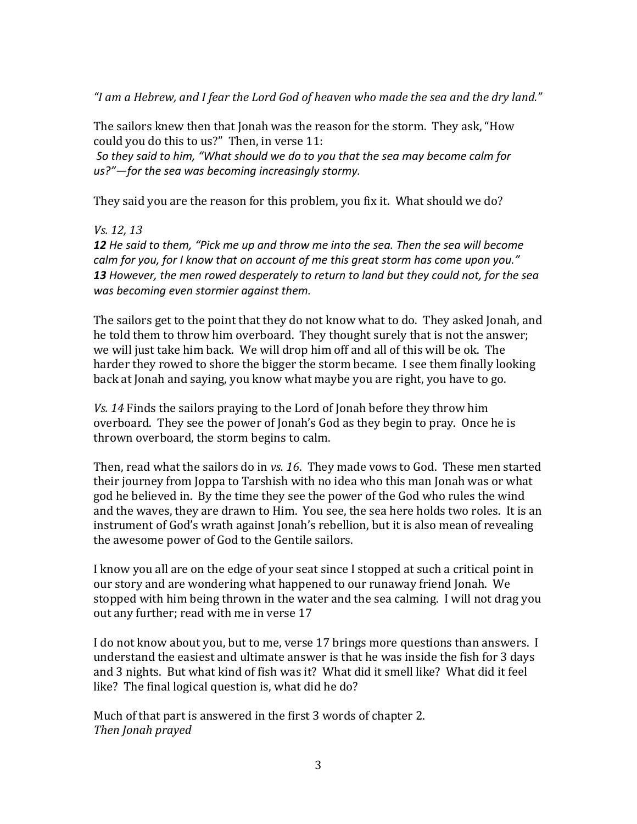*"I am a Hebrew, and I fear the Lord God of heaven who made the sea and the dry land."*

The sailors knew then that Jonah was the reason for the storm. They ask, "How could you do this to us?" Then, in verse 11:

*So they said to him, "What should we do to you that the sea may become calm for us?"—for the sea was becoming increasingly stormy.*

They said you are the reason for this problem, you fix it. What should we do?

*Vs. 12, 13*

*12 He said to them, "Pick me up and throw me into the sea. Then the sea will become calm for you, for I know that on account of me this great storm has come upon you." 13 However, the men rowed desperately to return to land but they could not, for the sea was becoming even stormier against them.*

The sailors get to the point that they do not know what to do. They asked Jonah, and he told them to throw him overboard. They thought surely that is not the answer; we will just take him back. We will drop him off and all of this will be ok. The harder they rowed to shore the bigger the storm became. I see them finally looking back at Jonah and saying, you know what maybe you are right, you have to go.

*Vs. 14* Finds the sailors praying to the Lord of Jonah before they throw him overboard. They see the power of Jonah's God as they begin to pray. Once he is thrown overboard, the storm begins to calm.

Then, read what the sailors do in *vs. 16*. They made vows to God. These men started their journey from Joppa to Tarshish with no idea who this man Jonah was or what god he believed in. By the time they see the power of the God who rules the wind and the waves, they are drawn to Him. You see, the sea here holds two roles. It is an instrument of God's wrath against Jonah's rebellion, but it is also mean of revealing the awesome power of God to the Gentile sailors.

I know you all are on the edge of your seat since I stopped at such a critical point in our story and are wondering what happened to our runaway friend Jonah. We stopped with him being thrown in the water and the sea calming. I will not drag you out any further; read with me in verse 17

I do not know about you, but to me, verse 17 brings more questions than answers. I understand the easiest and ultimate answer is that he was inside the fish for 3 days and 3 nights. But what kind of fish was it? What did it smell like? What did it feel like? The final logical question is, what did he do?

Much of that part is answered in the first 3 words of chapter 2. *Then Jonah prayed*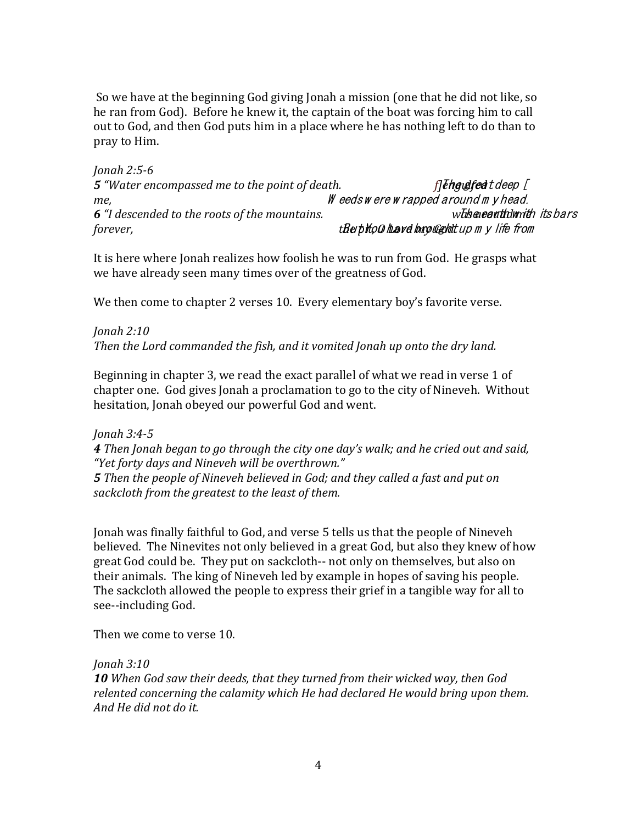So we have at the beginning God giving Jonah a mission (one that he did not like, so he ran from God). Before he knew it, the captain of the boat was forcing him to call out to God, and then God puts him in a place where he has nothing left to do than to pray to Him.

*Jonah 2:5-6* **5** "Water encompassed me to the point of death. *f[lengulfed t deep [ me,* W eeds w ere w rapped around m y head. **6** *"I descended to the roots of the mountains. whis a earth w its bars forever, forever, the pitton have brought up m y life from* 

It is here where Jonah realizes how foolish he was to run from God. He grasps what we have already seen many times over of the greatness of God.

We then come to chapter 2 verses 10. Every elementary boy's favorite verse.

*Jonah 2:10 Then the Lord commanded the fish, and it vomited Jonah up onto the dry land.*

Beginning in chapter 3, we read the exact parallel of what we read in verse 1 of chapter one. God gives Jonah a proclamation to go to the city of Nineveh. Without hesitation, Jonah obeyed our powerful God and went.

*Jonah 3:4-5*

*4 Then Jonah began to go through the city one day's walk; and he cried out and said, "Yet forty days and Nineveh will be overthrown."*

*5 Then the people of Nineveh believed in God; and they called a fast and put on sackcloth from the greatest to the least of them.*

Jonah was finally faithful to God, and verse 5 tells us that the people of Nineveh believed. The Ninevites not only believed in a great God, but also they knew of how great God could be. They put on sackcloth-- not only on themselves, but also on their animals. The king of Nineveh led by example in hopes of saving his people. The sackcloth allowed the people to express their grief in a tangible way for all to see--including God.

Then we come to verse 10.

*Jonah 3:10*

*10 When God saw their deeds, that they turned from their wicked way, then God relented concerning the calamity which He had declared He would bring upon them. And He did not do it.*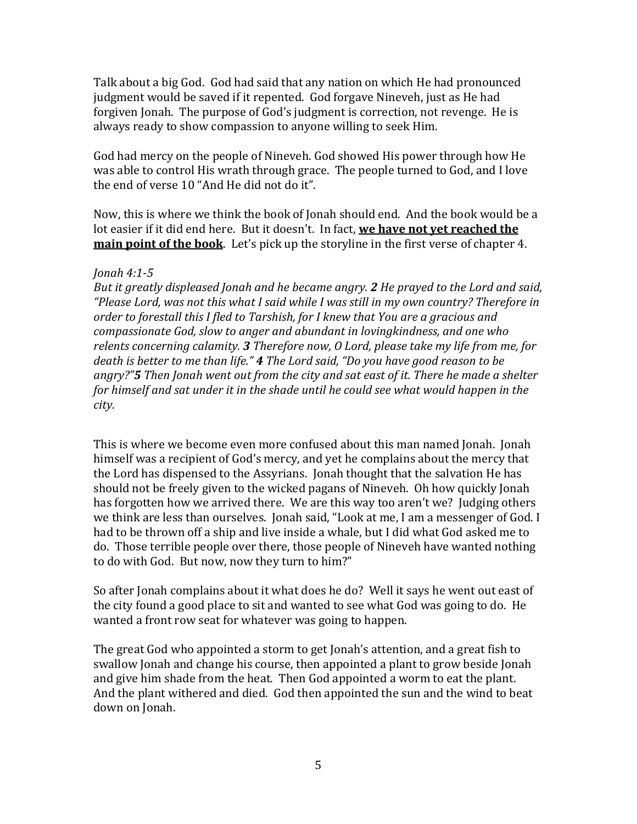Talk about a big God. God had said that any nation on which He had pronounced judgment would be saved if it repented. God forgave Nineveh, just as He had forgiven Jonah. The purpose of God's judgment is correction, not revenge. He is always ready to show compassion to anyone willing to seek Him.

God had mercy on the people of Nineveh. God showed His power through how He was able to control His wrath through grace. The people turned to God, and I love the end of verse 10 "And He did not do it".

Now, this is where we think the book of Jonah should end. And the book would be a lot easier if it did end here. But it doesn't. In fact, **we have not yet reached the main point of the book**. Let's pick up the storyline in the first verse of chapter 4.

## *Jonah 4:1-5*

*But it greatly displeased Jonah and he became angry. 2 He prayed to the Lord and said, "Please Lord, was not this what I said while I was still in my own country? Therefore in order to forestall this I fled to Tarshish, for I knew that You are a gracious and compassionate God, slow to anger and abundant in lovingkindness, and one who relents concerning calamity. 3 Therefore now, O Lord, please take my life from me, for death is better to me than life." 4 The Lord said, "Do you have good reason to be angry?"5 Then Jonah went out from the city and sat east of it. There he made a shelter for himself and sat under it in the shade until he could see what would happen in the city.*

This is where we become even more confused about this man named Jonah. Jonah himself was a recipient of God's mercy, and yet he complains about the mercy that the Lord has dispensed to the Assyrians. Jonah thought that the salvation He has should not be freely given to the wicked pagans of Nineveh. Oh how quickly Jonah has forgotten how we arrived there. We are this way too aren't we? Judging others we think are less than ourselves. Jonah said, "Look at me, I am a messenger of God. I had to be thrown off a ship and live inside a whale, but I did what God asked me to do. Those terrible people over there, those people of Nineveh have wanted nothing to do with God. But now, now they turn to him?"

So after Jonah complains about it what does he do? Well it says he went out east of the city found a good place to sit and wanted to see what God was going to do. He wanted a front row seat for whatever was going to happen.

The great God who appointed a storm to get Jonah's attention, and a great fish to swallow Jonah and change his course, then appointed a plant to grow beside Jonah and give him shade from the heat. Then God appointed a worm to eat the plant. And the plant withered and died. God then appointed the sun and the wind to beat down on Jonah.